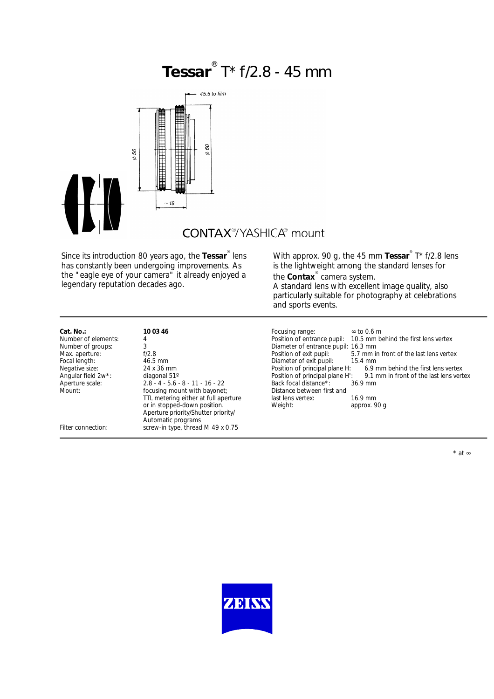# **Tessar** ® T\* f/2.8 - 45 mm



## **CONTAX**<sup>®</sup>/YASHICA® mount

Since its introduction 80 years ago, the **Tessar**® lens has constantly been undergoing improvements. As the "eagle eye of your camera" it already enjoyed a legendary reputation decades ago.

With approx. 90 g, the 45 mm Tessar<sup>®</sup> T\* f/2.8 lens is the lightweight among the standard lenses for the **Contax**® camera system.

A standard lens with excellent image quality, also particularly suitable for photography at celebrations and sports events.

| Cat. No.:                       | 10 03 46                             | Focusing range:                     | $\infty$ to 0.6 m                       |
|---------------------------------|--------------------------------------|-------------------------------------|-----------------------------------------|
| Number of elements:             | 4                                    | Position of entrance pupil:         | 10.5 mm behind the first lens vertex    |
| Number of groups:               |                                      | Diameter of entrance pupil: 16.3 mm |                                         |
| Max. aperture:                  | f/2.8                                | Position of exit pupil:             | 5.7 mm in front of the last lens vertex |
| Focal length:                   | 46.5 mm                              | Diameter of exit pupil:             | $15.4 \text{ mm}$                       |
| Negative size:                  | 24 x 36 mm                           | Position of principal plane H:      | 6.9 mm behind the first lens vertex     |
| Angular field 2w <sup>*</sup> : | diagonal 51°                         | Position of principal plane H':     | 9.1 mm in front of the last lens vertex |
| Aperture scale:                 | $2.8 - 4 - 5.6 - 8 - 11 - 16 - 22$   | Back focal distance*:               | $36.9$ mm                               |
| Mount:                          | focusing mount with bayonet;         | Distance between first and          |                                         |
|                                 | TTL metering either at full aperture | last lens vertex:                   | $16.9$ mm                               |
|                                 | or in stopped-down position.         | Weight:                             | approx. 90 g                            |
|                                 | Aperture priority/Shutter priority/  |                                     |                                         |
|                                 | Automatic programs                   |                                     |                                         |
| Filter connection:              | screw-in type, thread M 49 x 0.75    |                                     |                                         |